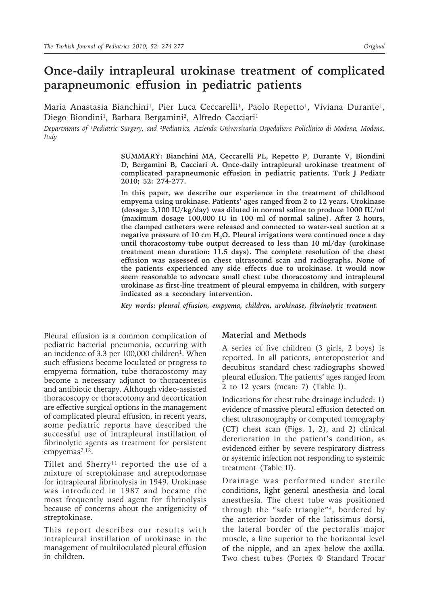# **Once-daily intrapleural urokinase treatment of complicated parapneumonic effusion in pediatric patients**

Maria Anastasia Bianchini<sup>1</sup>, Pier Luca Ceccarelli<sup>1</sup>, Paolo Repetto<sup>1</sup>, Viviana Durante<sup>1</sup>, Diego Biondini<sup>1</sup>, Barbara Bergamini<sup>2</sup>, Alfredo Cacciari<sup>1</sup>

*Departments of ¹Pediatric Surgery, and ²Pediatrics, Azienda Universitaria Ospedaliera Policlinico di Modena, Modena, Italy*

> **SUMMARY: Bianchini MA, Ceccarelli PL, Repetto P, Durante V, Biondini D, Bergamini B, Cacciari A. Once-daily intrapleural urokinase treatment of complicated parapneumonic effusion in pediatric patients. Turk J Pediatr 2010; 52: 274-277.**

> **In this paper, we describe our experience in the treatment of childhood empyema using urokinase. Patients' ages ranged from 2 to 12 years. Urokinase (dosage: 3,100 IU/kg/day) was diluted in normal saline to produce 1000 IU/ml (maximum dosage 100,000 IU in 100 ml of normal saline). After 2 hours, the clamped catheters were released and connected to water-seal suction at a**  negative pressure of 10 cm H<sub>2</sub>O. Pleural irrigations were continued once a day **until thoracostomy tube output decreased to less than 10 ml/day (urokinase treatment mean duration: 11.5 days). The complete resolution of the chest effusion was assessed on chest ultrasound scan and radiographs. None of the patients experienced any side effects due to urokinase. It would now seem reasonable to advocate small chest tube thoracostomy and intrapleural urokinase as first-line treatment of pleural empyema in children, with surgery indicated as a secondary intervention.**

*Key words: pleural effusion, empyema, children, urokinase, fibrinolytic treatment.*

Pleural effusion is a common complication of pediatric bacterial pneumonia, occurring with an incidence of 3.3 per  $100,000$  children<sup>1</sup>. When such effusions become loculated or progress to empyema formation, tube thoracostomy may become a necessary adjunct to thoracentesis and antibiotic therapy. Although video-assisted thoracoscopy or thoracotomy and decortication are effective surgical options in the management of complicated pleural effusion, in recent years, some pediatric reports have described the successful use of intrapleural instillation of fibrinolytic agents as treatment for persistent empyemas<sup>7,12</sup>.

Tillet and Sherry<sup>11</sup> reported the use of a mixture of streptokinase and streptodornase for intrapleural fibrinolysis in 1949. Urokinase was introduced in 1987 and became the most frequently used agent for fibrinolysis because of concerns about the antigenicity of streptokinase.

This report describes our results with intrapleural instillation of urokinase in the management of multiloculated pleural effusion in children.

#### **Material and Methods**

A series of five children (3 girls, 2 boys) is reported. In all patients, anteroposterior and decubitus standard chest radiographs showed pleural effusion. The patients' ages ranged from 2 to 12 years (mean: 7) (Table I).

Indications for chest tube drainage included: 1) evidence of massive pleural effusion detected on chest ultrasonography or computed tomography (CT) chest scan (Figs. 1, 2), and 2) clinical deterioration in the patient's condition, as evidenced either by severe respiratory distress or systemic infection not responding to systemic treatment (Table II).

Drainage was performed under sterile conditions, light general anesthesia and local anesthesia. The chest tube was positioned through the "safe triangle"4, bordered by the anterior border of the latissimus dorsi, the lateral border of the pectoralis major muscle, a line superior to the horizontal level of the nipple, and an apex below the axilla. Two chest tubes (Portex ® Standard Trocar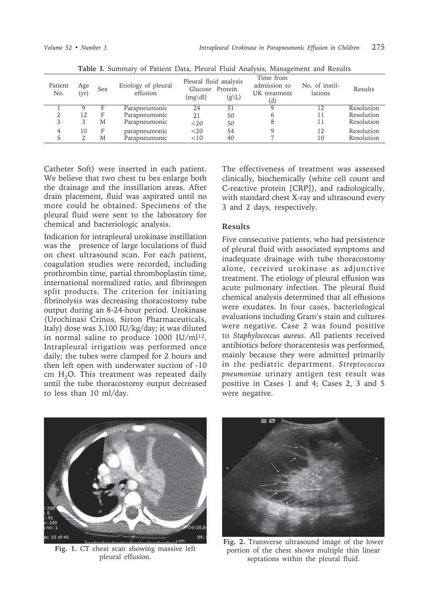|                |             |     |                                 |                                                                     |                   | ັ                                                |                           |            |
|----------------|-------------|-----|---------------------------------|---------------------------------------------------------------------|-------------------|--------------------------------------------------|---------------------------|------------|
| Patient<br>No. | Age<br>(yr) | Sex | Etiology of pleural<br>effusion | Pleural fluid analysis<br>Glucose Protein<br>$(mg\ddot{\text{dl}})$ | $(g\backslash L)$ | Time from<br>admission to<br>UK treatment<br>(d) | No. of instil-<br>lations | Results    |
|                |             |     | Parapneumonic                   | 24                                                                  | 51                | Q                                                | 12                        | Resolution |
|                | 12          | F   | Parapneumonic                   | 21                                                                  | 50                | h                                                | 11                        | Resolution |
|                | 3           | M   | Parapneumonic                   | <20                                                                 | 50                |                                                  | 11                        | Resolution |
|                | 10          | F   | parapneumonic                   | $<$ 20                                                              | 54                | q                                                | 12                        | Resolution |
|                |             | M   | Parapneumonic                   | <10                                                                 | 40                |                                                  | 10                        | Resolution |
|                |             |     |                                 |                                                                     |                   |                                                  |                           |            |

**Table I.** Summary of Patient Data, Pleural Fluid Analysis, Management and Results

Catheter Soft) were inserted in each patient. We believe that two chest tu bes enlarge both the drainage and the instillation areas. After drain placement, fluid was aspirated until no more could be obtained. Specimens of the pleural fluid were sent to the laboratory for chemical and bacteriologic analysis.

Indication for intrapleural urokinase instillation was the presence of large loculations of fluid on chest ultrasound scan. For each patient, coagulation studies were recorded, including prothrombin time, partial thromboplastin time, international normalized ratio, and fibrinogen split products. The criterion for initiating fibrinolysis was decreasing thoracostomy tube output during an 8-24-hour period. Urokinase (Urochinasi Crinos, Sirton Pharmaceuticals, Italy) dose was 3,100 IU/kg/day; it was diluted in normal saline to produce 1000 IU/ml<sup>12</sup>. Intrapleural irrigation was performed once daily; the tubes were clamped for 2 hours and then left open with underwater suction of -10 cm  $H<sub>2</sub>O$ . This treatment was repeated daily until the tube thoracostomy output decreased to less than 10 ml/day.

The effectiveness of treatment was assessed clinically, biochemically (white cell count and C-reactive protein [CRP]), and radiologically, with standard chest X-ray and ultrasound every 3 and 2 days, respectively.

### **Results**

Five consecutive patients, who had persistence of pleural fluid with associated symptoms and inadequate drainage with tube thoracostomy alone, received urokinase as adjunctive treatment. The etiology of pleural effusion was acute pulmonary infection. The pleural fluid chemical analysis determined that all effusions were exudates. In four cases, bacteriological evaluations including Gram's stain and cultures were negative. Case 2 was found positive to *Staphylococcus aureus*. All patients received antibiotics before thoracentesis was performed, mainly because they were admitted primarily in the pediatric department. *Streptococcus pneumoniae* urinary antigen test result was positive in Cases 1 and 4; Cases 2, 3 and 5 were negative.



**Fig. 1.** CT chest scan showing massive left pleural effusion.



**Fig. 2.** Transverse ultrasound image of the lower portion of the chest shows multiple thin linear septations within the pleural fluid.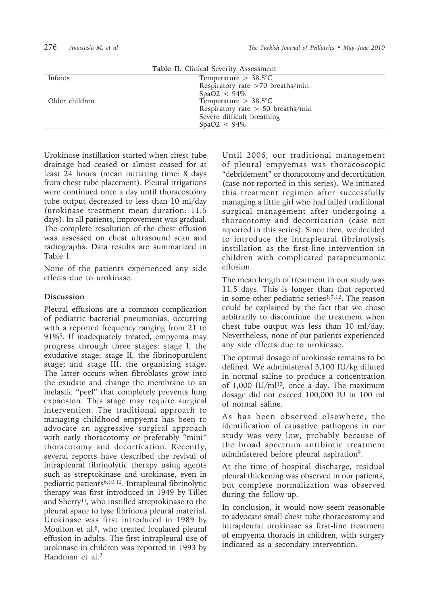|                | Table II. Clinical Severity Assessment |  |
|----------------|----------------------------------------|--|
| Infants        | Temperature $> 38.5$ °C                |  |
|                | Respiratory rate >70 breaths/min       |  |
|                | $SpaO2 < 94\%$                         |  |
| Older children | Temperature $> 38.5$ °C                |  |
|                | Respiratory rate $> 50$ breaths/min    |  |
|                | Severe difficult breathing             |  |
|                | $SpaO2 < 94\%$                         |  |
|                |                                        |  |

Urokinase instillation started when chest tube drainage had ceased or almost ceased for at least 24 hours (mean initiating time: 8 days from chest tube placement). Pleural irrigations were continued once a day until thoracostomy tube output decreased to less than 10 ml/day (urokinase treatment mean duration: 11.5 days). In all patients, improvement was gradual. The complete resolution of the chest effusion was assessed on chest ultrasound scan and radiographs. Data results are summarized in Table I.

None of the patients experienced any side effects due to urokinase.

## **Discussion**

Pleural effusions are a common complication of pediatric bacterial pneumonias, occurring with a reported frequency ranging from 21 to 91%5. If inadequately treated, empyema may progress through three stages: stage I, the exudative stage; stage II, the fibrinopurulent stage; and stage III, the organizing stage. The latter occurs when fibroblasts grow into the exudate and change the membrane to an inelastic "peel" that completely prevents lung expansion. This stage may require surgical intervention. The traditional approach to managing childhood empyema has been to advocate an aggressive surgical approach with early thoracotomy or preferably "mini" thoracotomy and decortication. Recently, several reports have described the revival of intrapleural fibrinolytic therapy using agents such as streptokinase and urokinase, even in pediatric patients6,10,12. Intrapleural fibrinolytic therapy was first introduced in 1949 by Tillet and Sherry<sup>11</sup>, who instilled streptokinase to the pleural space to lyse fibrinous pleural material. Urokinase was first introduced in 1989 by Moulton et al.<sup>8</sup>, who treated loculated pleural effusion in adults. The first intrapleural use of urokinase in children was reported in 1993 by Handman et al.<sup>2</sup>

Until 2006, our traditional management of pleural empyemas was thoracoscopic "debridement" or thoracotomy and decortication (case not reported in this series). We initiated this treatment regimen after successfully managing a little girl who had failed traditional surgical management after undergoing a thoracotomy and decortication (case not reported in this series). Since then, we decided to introduce the intrapleural fibrinolysis instillation as the first-line intervention in children with complicated parapneumonic effusion.

The mean length of treatment in our study was 11.5 days. This is longer than that reported in some other pediatric series<sup>1,7,12</sup>. The reason could be explained by the fact that we chose arbitrarily to discontinue the treatment when chest tube output was less than 10 ml/day. Nevertheless, none of our patients experienced any side effects due to urokinase.

The optimal dosage of urokinase remains to be defined. We administered 3,100 IU/kg diluted in normal saline to produce a concentration of 1,000 IU/ml<sup>12</sup>, once a day. The maximum dosage did not exceed 100,000 IU in 100 ml of normal saline.

As has been observed elsewhere, the identification of causative pathogens in our study was very low, probably because of the broad spectrum antibiotic treatment administered before pleural aspiration9.

At the time of hospital discharge, residual pleural thickening was observed in our patients, but complete normalization was observed during the follow-up.

In conclusion, it would now seem reasonable to advocate small chest tube thoracostomy and intrapleural urokinase as first-line treatment of empyema thoracis in children, with surgery indicated as a secondary intervention.